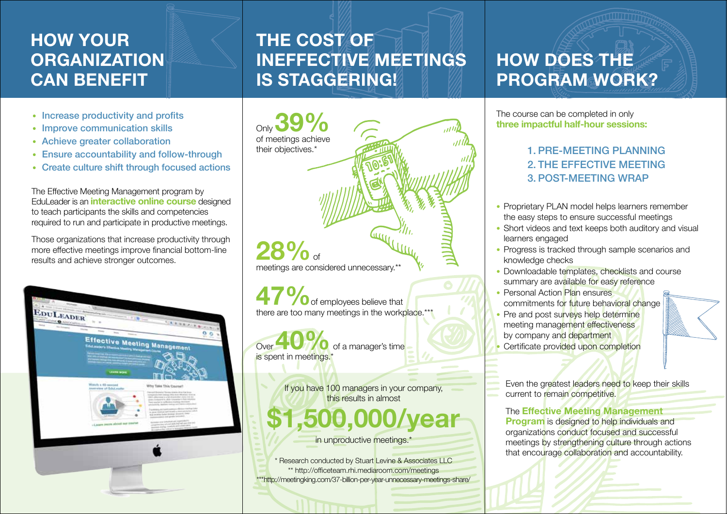## **HOW YOUR ORGANIZATION CAN BENEFIT**

- Increase productivity and profits
- Improve communication skills
- Achieve greater collaboration
- Ensure accountability and follow-through
- Create culture shift through focused actions

The Effective Meeting Management program by EduLeader is an **interactive online course** designed to teach participants the skills and competencies required to run and participate in productive meetings.

Those organizations that increase productivity through more effective meetings improve financial bottom-line results and achieve stronger outcomes.



## **THE COST OF INEFFECTIVE MEETINGS IS STAGGERING!**

Only of meetings achieve **39%** their objectives.\* **47%** of employees believe that there are too many meetings in the workplace.\*\*\* 28%<sub>of</sub> meetings are considered unnecessary.\*

Over **40%** of a manager's time is spent in meetings.'

> If you have 100 managers in your company, this results in almost

## **\$1,500,000/year**

in unproductive meetings.<sup>\*</sup>

\* Research conducted by Stuart Levine & Associates LLC \*\* http://officeteam.rhi.mediaroom.com/meetings \*\*\*http://meetingking.com/37-billion-per-year-unnecessary-meetings-share/

## **HOW DOES THE PROGRAM WORK?**

The course can be completed in only **three impactful half-hour sessions:**

#### 1. PRE-MEETING PLANNING 2. THE EFFECTIVE MEETING 3. POST-MEETING WRAP

- Proprietary PLAN model helps learners remember the easy steps to ensure successful meetings
- Short videos and text keeps both auditory and visual learners engaged
- Progress is tracked through sample scenarios and knowledge checks
- Downloadable templates, checklists and course summary are available for easy reference
- Personal Action Plan ensures commitments for future behavioral change
- Pre and post surveys help determine meeting management effectiveness by company and department
- Certificate provided upon completion

Even the greatest leaders need to keep their skills current to remain competitive.

The **Effective Meeting Management Program** is designed to help individuals and organizations conduct focused and successful meetings by strengthening culture through actions that encourage collaboration and accountability.